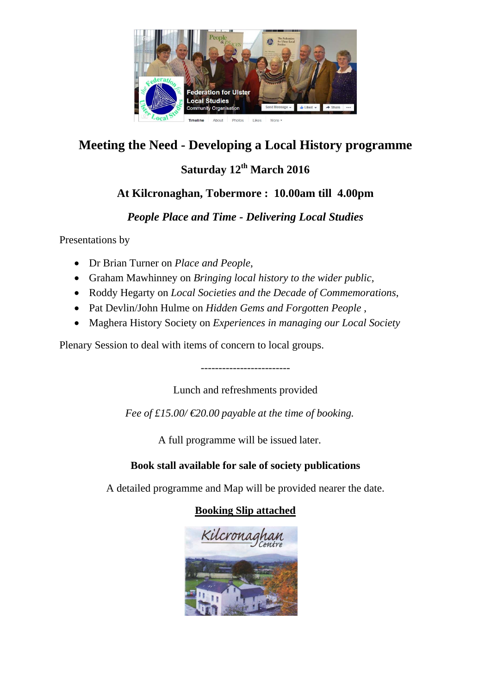

## **Meeting the Need - Developing a Local History programme**

## **Saturday 12th March 2016**

### **At Kilcronaghan, Tobermore : 10.00am till 4.00pm**

#### *People Place and Time - Delivering Local Studies*

Presentations by

- Dr Brian Turner on *Place and People*,
- Graham Mawhinney on *Bringing local history to the wider public,*
- Roddy Hegarty on *Local Societies and the Decade of Commemorations*,
- Pat Devlin/John Hulme on *Hidden Gems and Forgotten People* ,
- Maghera History Society on *Experiences in managing our Local Society*

Plenary Session to deal with items of concern to local groups.

-------------------------

Lunch and refreshments provided

*Fee of £15.00/ €20.00 payable at the time of booking.* 

A full programme will be issued later.

#### **Book stall available for sale of society publications**

A detailed programme and Map will be provided nearer the date.

#### **Booking Slip attached**